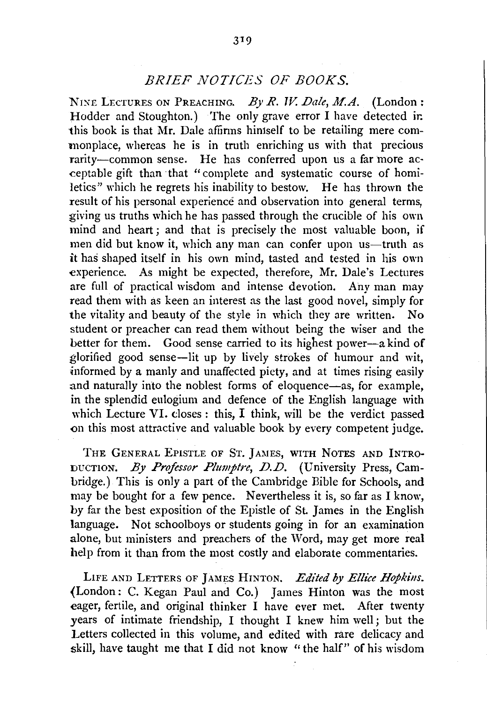## *BRIEF NOTICES OF BOOKS.*

NINE LECTURES ON PREACHING. By R. W. Dale, M.A. (London: Hodder and Stoughton.) The only grave error I have detected ir. this book is that Mr. Dale affirms himself to be retailing mere commonplace, whereas he is in truth enriching us with that precious rarity-common sense. He has conferred upon us a far more acceptable gift than that "complete and systematic course of homiletics" which he regrets his inability to bestow. He has thrown the result of his personal experience and observation into general terms, giving us truths which he has passed through the crucible of his own mind and heart; and that is precisely the most valuable boon, if men did but know it, which any man can confer upon us—truth as it has shaped itself in his own mind, tasted and tested in his own experience. As might be expected, therefore, Mr. Dale's Lectures are full of practical wisdom and intense devotion. Any man may read them with as keen an interest as the last good novel, simply for the vitality and beauty of the style in which they are written. No student or preacher can read them without being the wiser and the better for them. Good sense carried to its highest power-a kind of glorified good sense-lit up by lively strokes of humour and wit, informed by a manly and unaffected piety, and at times rising easily and naturally into the noblest forms of eloquence-as, for example, in the splendid eulogium and defence of the English language with which Lecture VI. closes : this, I think, will be the verdict passed on this most attractive and valuable book by every competent judge.

THE GENERAL EPISTLE OF ST. JAMES, WITH NOTES AND INTRO-DUCTION. By *Professor Plumptre, D.D.* (University Press, Cambridge.) This is only a part of the Cambridge Bible for Schools, and may be bought for a few pence. Nevertheless it is, so far as I know, by far the best exposition of the Epistle of St. James in the English language. Not schoolboys or students going in for an examination alone, but ministers and preachers of the Word, may get more real help from it than from the most costly and elaborate commentaries.

LIFE AND LETTERS OF JAMES HINTON. *Edited by Ellice Hopkins.* (London: C. Kegan Paul and Co.) James Hinton was the most eager, fertile, and original thinker I have ever met. After twenty years of intimate friendship, I thought I knew him well; but the Letters collected in this volume, and edited with rare delicacy and skill, have taught me that I did not know "the half" of his wisdom